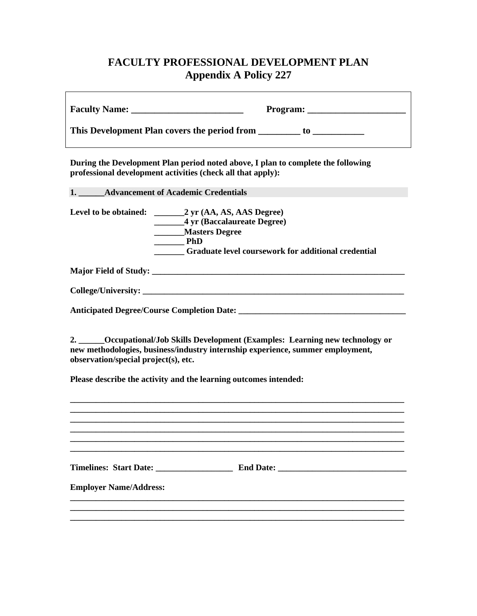## **FACULTY PROFESSIONAL DEVELOPMENT PLAN Appendix A Policy 227**

|                                      | This Development Plan covers the period from _________ to _______________________                                                                                   |
|--------------------------------------|---------------------------------------------------------------------------------------------------------------------------------------------------------------------|
|                                      | During the Development Plan period noted above, I plan to complete the following<br>professional development activities (check all that apply):                     |
|                                      | 1. Advancement of Academic Credentials                                                                                                                              |
|                                      | _______4 yr (Baccalaureate Degree)<br>________Masters Degree<br>$\rule{1em}{0.15mm}$ PhD<br><b>Example 15 Graduate level coursework for additional credential</b>   |
|                                      |                                                                                                                                                                     |
|                                      |                                                                                                                                                                     |
|                                      |                                                                                                                                                                     |
| observation/special project(s), etc. | 2. _____Occupational/Job Skills Development (Examples: Learning new technology or<br>new methodologies, business/industry internship experience, summer employment, |
|                                      | Please describe the activity and the learning outcomes intended:                                                                                                    |
|                                      |                                                                                                                                                                     |
|                                      |                                                                                                                                                                     |
|                                      |                                                                                                                                                                     |
|                                      |                                                                                                                                                                     |
| <b>Employer Name/Address:</b>        |                                                                                                                                                                     |
|                                      |                                                                                                                                                                     |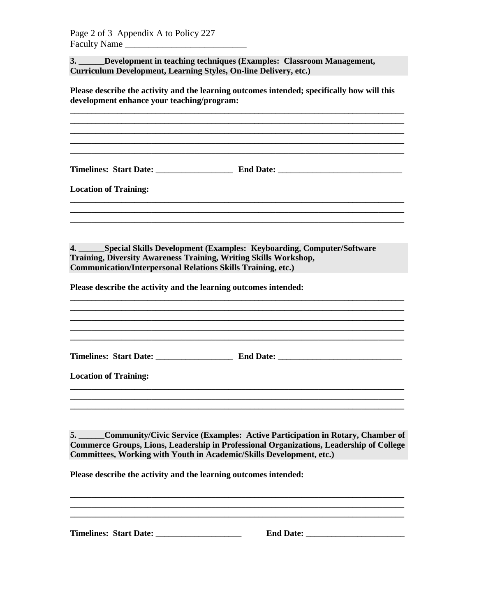**Location of Training:** 

**3. \_\_\_\_\_\_Development in teaching techniques (Examples: Classroom Management, Curriculum Development, Learning Styles, On-line Delivery, etc.)**

**Please describe the activity and the learning outcomes intended; specifically how will this development enhance your teaching/program:**

**\_\_\_\_\_\_\_\_\_\_\_\_\_\_\_\_\_\_\_\_\_\_\_\_\_\_\_\_\_\_\_\_\_\_\_\_\_\_\_\_\_\_\_\_\_\_\_\_\_\_\_\_\_\_\_\_\_\_\_\_\_\_\_\_\_\_\_\_\_\_\_\_\_\_\_\_\_\_ \_\_\_\_\_\_\_\_\_\_\_\_\_\_\_\_\_\_\_\_\_\_\_\_\_\_\_\_\_\_\_\_\_\_\_\_\_\_\_\_\_\_\_\_\_\_\_\_\_\_\_\_\_\_\_\_\_\_\_\_\_\_\_\_\_\_\_\_\_\_\_\_\_\_\_\_\_\_**

**\_\_\_\_\_\_\_\_\_\_\_\_\_\_\_\_\_\_\_\_\_\_\_\_\_\_\_\_\_\_\_\_\_\_\_\_\_\_\_\_\_\_\_\_\_\_\_\_\_\_\_\_\_\_\_\_\_\_\_\_\_\_\_\_\_\_\_\_\_\_\_\_\_\_\_\_\_\_ \_\_\_\_\_\_\_\_\_\_\_\_\_\_\_\_\_\_\_\_\_\_\_\_\_\_\_\_\_\_\_\_\_\_\_\_\_\_\_\_\_\_\_\_\_\_\_\_\_\_\_\_\_\_\_\_\_\_\_\_\_\_\_\_\_\_\_\_\_\_\_\_\_\_\_\_\_\_**

**Timelines: Start Date: \_\_\_\_\_\_\_\_\_\_\_\_\_\_\_\_\_\_ End Date: \_\_\_\_\_\_\_\_\_\_\_\_\_\_\_\_\_\_\_\_\_\_\_\_\_\_\_\_\_**

**\_\_\_\_\_\_\_\_\_\_\_\_\_\_\_\_\_\_\_\_\_\_\_\_\_\_\_\_\_\_\_\_\_\_\_\_\_\_\_\_\_\_\_\_\_\_\_\_\_\_\_\_\_\_\_\_\_\_\_\_\_\_\_\_\_\_\_\_\_\_\_\_\_\_\_\_\_\_ \_\_\_\_\_\_\_\_\_\_\_\_\_\_\_\_\_\_\_\_\_\_\_\_\_\_\_\_\_\_\_\_\_\_\_\_\_\_\_\_\_\_\_\_\_\_\_\_\_\_\_\_\_\_\_\_\_\_\_\_\_\_\_\_\_\_\_\_\_\_\_\_\_\_\_\_\_\_ \_\_\_\_\_\_\_\_\_\_\_\_\_\_\_\_\_\_\_\_\_\_\_\_\_\_\_\_\_\_\_\_\_\_\_\_\_\_\_\_\_\_\_\_\_\_\_\_\_\_\_\_\_\_\_\_\_\_\_\_\_\_\_\_\_\_\_\_\_\_\_\_\_\_\_\_\_\_**

**4. \_\_\_\_\_\_Special Skills Development (Examples: Keyboarding, Computer/Software Training, Diversity Awareness Training, Writing Skills Workshop, Communication/Interpersonal Relations Skills Training, etc.)**

**Please describe the activity and the learning outcomes intended:**

**\_\_\_\_\_\_\_\_\_\_\_\_\_\_\_\_\_\_\_\_\_\_\_\_\_\_\_\_\_\_\_\_\_\_\_\_\_\_\_\_\_\_\_\_\_\_\_\_\_\_\_\_\_\_\_\_\_\_\_\_\_\_\_\_\_\_\_\_\_\_\_\_\_\_\_\_\_\_ \_\_\_\_\_\_\_\_\_\_\_\_\_\_\_\_\_\_\_\_\_\_\_\_\_\_\_\_\_\_\_\_\_\_\_\_\_\_\_\_\_\_\_\_\_\_\_\_\_\_\_\_\_\_\_\_\_\_\_\_\_\_\_\_\_\_\_\_\_\_\_\_\_\_\_\_\_\_ Timelines: Start Date: \_\_\_\_\_\_\_\_\_\_\_\_\_\_\_\_\_\_ End Date: \_\_\_\_\_\_\_\_\_\_\_\_\_\_\_\_\_\_\_\_\_\_\_\_\_\_\_\_\_ Location of Training: \_\_\_\_\_\_\_\_\_\_\_\_\_\_\_\_\_\_\_\_\_\_\_\_\_\_\_\_\_\_\_\_\_\_\_\_\_\_\_\_\_\_\_\_\_\_\_\_\_\_\_\_\_\_\_\_\_\_\_\_\_\_\_\_\_\_\_\_\_\_\_\_\_\_\_\_\_\_ \_\_\_\_\_\_\_\_\_\_\_\_\_\_\_\_\_\_\_\_\_\_\_\_\_\_\_\_\_\_\_\_\_\_\_\_\_\_\_\_\_\_\_\_\_\_\_\_\_\_\_\_\_\_\_\_\_\_\_\_\_\_\_\_\_\_\_\_\_\_\_\_\_\_\_\_\_\_**

**5. \_\_\_\_\_\_Community/Civic Service (Examples: Active Participation in Rotary, Chamber of Commerce Groups, Lions, Leadership in Professional Organizations, Leadership of College Committees, Working with Youth in Academic/Skills Development, etc.)**

**\_\_\_\_\_\_\_\_\_\_\_\_\_\_\_\_\_\_\_\_\_\_\_\_\_\_\_\_\_\_\_\_\_\_\_\_\_\_\_\_\_\_\_\_\_\_\_\_\_\_\_\_\_\_\_\_\_\_\_\_\_\_\_\_\_\_\_\_\_\_\_\_\_\_\_\_\_\_**

**\_\_\_\_\_\_\_\_\_\_\_\_\_\_\_\_\_\_\_\_\_\_\_\_\_\_\_\_\_\_\_\_\_\_\_\_\_\_\_\_\_\_\_\_\_\_\_\_\_\_\_\_\_\_\_\_\_\_\_\_\_\_\_\_\_\_\_\_\_\_\_\_\_\_\_\_\_\_**

**Please describe the activity and the learning outcomes intended:**

**Timelines: Start Date:**  Timelines: Start Date:  $\blacksquare$